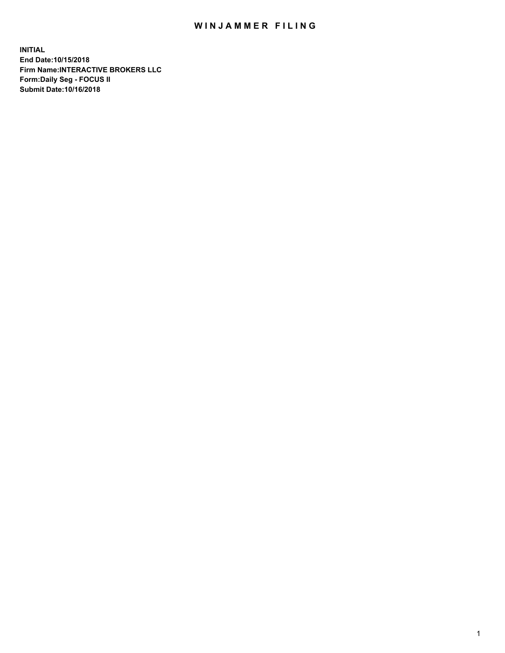## WIN JAMMER FILING

**INITIAL End Date:10/15/2018 Firm Name:INTERACTIVE BROKERS LLC Form:Daily Seg - FOCUS II Submit Date:10/16/2018**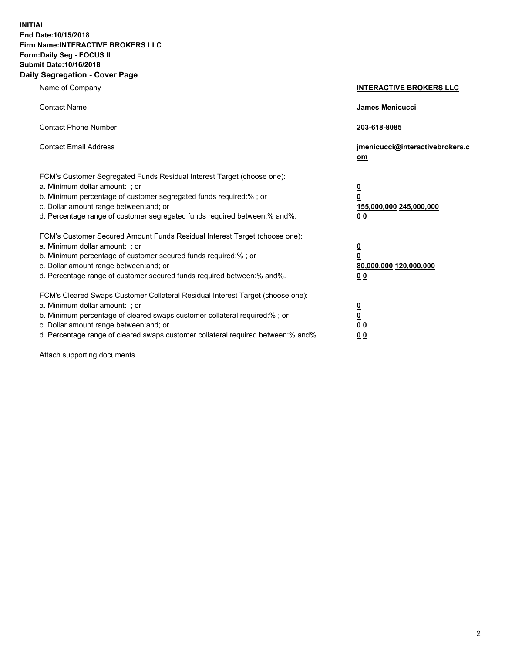**INITIAL End Date:10/15/2018 Firm Name:INTERACTIVE BROKERS LLC Form:Daily Seg - FOCUS II Submit Date:10/16/2018 Daily Segregation - Cover Page**

| Name of Company                                                                                                                                                                                                                                                                                                                | <b>INTERACTIVE BROKERS LLC</b>                                                                  |
|--------------------------------------------------------------------------------------------------------------------------------------------------------------------------------------------------------------------------------------------------------------------------------------------------------------------------------|-------------------------------------------------------------------------------------------------|
| <b>Contact Name</b>                                                                                                                                                                                                                                                                                                            | James Menicucci                                                                                 |
| <b>Contact Phone Number</b>                                                                                                                                                                                                                                                                                                    | 203-618-8085                                                                                    |
| <b>Contact Email Address</b>                                                                                                                                                                                                                                                                                                   | jmenicucci@interactivebrokers.c<br>om                                                           |
| FCM's Customer Segregated Funds Residual Interest Target (choose one):<br>a. Minimum dollar amount: ; or<br>b. Minimum percentage of customer segregated funds required:%; or<br>c. Dollar amount range between: and; or<br>d. Percentage range of customer segregated funds required between:% and%.                          | $\overline{\mathbf{0}}$<br>$\overline{\mathbf{0}}$<br>155,000,000 245,000,000<br>0 <sub>0</sub> |
| FCM's Customer Secured Amount Funds Residual Interest Target (choose one):<br>a. Minimum dollar amount: ; or<br>b. Minimum percentage of customer secured funds required:% ; or<br>c. Dollar amount range between: and; or<br>d. Percentage range of customer secured funds required between:% and%.                           | $\overline{\mathbf{0}}$<br>$\overline{\mathbf{0}}$<br>80,000,000 120,000,000<br>0 <sub>0</sub>  |
| FCM's Cleared Swaps Customer Collateral Residual Interest Target (choose one):<br>a. Minimum dollar amount: ; or<br>b. Minimum percentage of cleared swaps customer collateral required:% ; or<br>c. Dollar amount range between: and; or<br>d. Percentage range of cleared swaps customer collateral required between:% and%. | $\overline{\mathbf{0}}$<br>$\underline{\mathbf{0}}$<br>0 <sub>0</sub><br>0 <sub>0</sub>         |

Attach supporting documents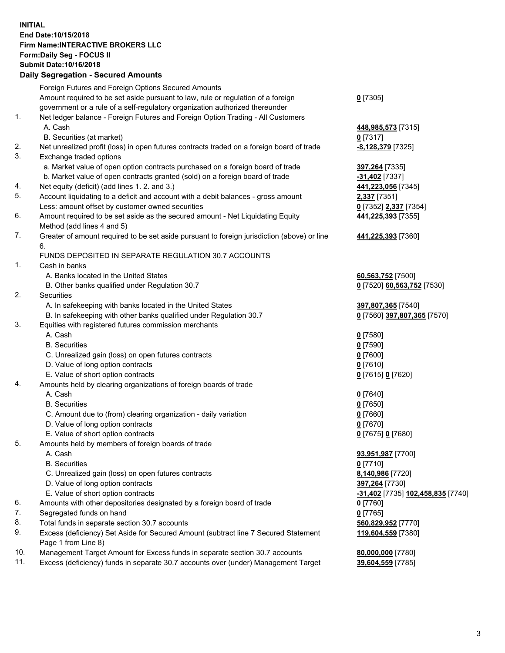## **INITIAL End Date:10/15/2018 Firm Name:INTERACTIVE BROKERS LLC Form:Daily Seg - FOCUS II Submit Date:10/16/2018 Daily Segregation - Secured Amounts**

|     | Dany Segregation - Secured Amounts                                                          |                                   |
|-----|---------------------------------------------------------------------------------------------|-----------------------------------|
|     | Foreign Futures and Foreign Options Secured Amounts                                         |                                   |
|     | Amount required to be set aside pursuant to law, rule or regulation of a foreign            | $0$ [7305]                        |
|     | government or a rule of a self-regulatory organization authorized thereunder                |                                   |
| 1.  | Net ledger balance - Foreign Futures and Foreign Option Trading - All Customers             |                                   |
|     | A. Cash                                                                                     | 448,985,573 [7315]                |
|     | B. Securities (at market)                                                                   | $0$ [7317]                        |
| 2.  | Net unrealized profit (loss) in open futures contracts traded on a foreign board of trade   | -8,128,379 [7325]                 |
| 3.  | Exchange traded options                                                                     |                                   |
|     | a. Market value of open option contracts purchased on a foreign board of trade              | 397,264 [7335]                    |
|     | b. Market value of open contracts granted (sold) on a foreign board of trade                | -31,402 [7337]                    |
| 4.  | Net equity (deficit) (add lines 1. 2. and 3.)                                               | 441,223,056 [7345]                |
| 5.  | Account liquidating to a deficit and account with a debit balances - gross amount           | 2,337 [7351]                      |
|     | Less: amount offset by customer owned securities                                            | 0 [7352] 2,337 [7354]             |
| 6.  | Amount required to be set aside as the secured amount - Net Liquidating Equity              | 441,225,393 [7355]                |
|     | Method (add lines 4 and 5)                                                                  |                                   |
| 7.  | Greater of amount required to be set aside pursuant to foreign jurisdiction (above) or line | 441,225,393 [7360]                |
|     | 6.                                                                                          |                                   |
|     | FUNDS DEPOSITED IN SEPARATE REGULATION 30.7 ACCOUNTS                                        |                                   |
| 1.  | Cash in banks                                                                               |                                   |
|     | A. Banks located in the United States                                                       | 60,563,752 [7500]                 |
|     | B. Other banks qualified under Regulation 30.7                                              | 0 [7520] 60,563,752 [7530]        |
| 2.  | Securities                                                                                  |                                   |
|     | A. In safekeeping with banks located in the United States                                   | 397,807,365 [7540]                |
|     | B. In safekeeping with other banks qualified under Regulation 30.7                          | 0 [7560] 397,807,365 [7570]       |
| 3.  | Equities with registered futures commission merchants                                       |                                   |
|     | A. Cash                                                                                     | $0$ [7580]                        |
|     | <b>B.</b> Securities                                                                        | $0$ [7590]                        |
|     | C. Unrealized gain (loss) on open futures contracts                                         | $0$ [7600]                        |
|     | D. Value of long option contracts                                                           | $0$ [7610]                        |
|     | E. Value of short option contracts                                                          | 0 [7615] 0 [7620]                 |
| 4.  | Amounts held by clearing organizations of foreign boards of trade                           |                                   |
|     | A. Cash                                                                                     | $0$ [7640]                        |
|     | <b>B.</b> Securities                                                                        | $0$ [7650]                        |
|     | C. Amount due to (from) clearing organization - daily variation                             | $0$ [7660]                        |
|     | D. Value of long option contracts                                                           | $0$ [7670]                        |
|     | E. Value of short option contracts                                                          | 0 [7675] 0 [7680]                 |
| 5.  | Amounts held by members of foreign boards of trade                                          |                                   |
|     | A. Cash                                                                                     | 93,951,987 [7700]                 |
|     | <b>B.</b> Securities                                                                        | $0$ [7710]                        |
|     | C. Unrealized gain (loss) on open futures contracts                                         | 8,140,986 [7720]                  |
|     | D. Value of long option contracts                                                           | 397,264 [7730]                    |
|     | E. Value of short option contracts                                                          | -31,402 [7735] 102,458,835 [7740] |
| 6.  | Amounts with other depositories designated by a foreign board of trade                      | $0$ [7760]                        |
| 7.  | Segregated funds on hand                                                                    | $0$ [7765]                        |
| 8.  | Total funds in separate section 30.7 accounts                                               | 560,829,952 [7770]                |
| 9.  | Excess (deficiency) Set Aside for Secured Amount (subtract line 7 Secured Statement         | 119,604,559 [7380]                |
|     | Page 1 from Line 8)                                                                         |                                   |
| 10. | Management Target Amount for Excess funds in separate section 30.7 accounts                 | 80,000,000 [7780]                 |
| 11. | Excess (deficiency) funds in separate 30.7 accounts over (under) Management Target          | 39,604,559 [7785]                 |
|     |                                                                                             |                                   |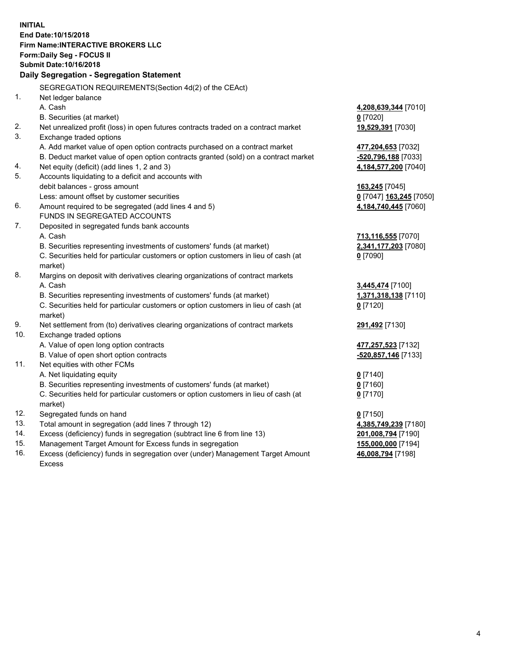**INITIAL End Date:10/15/2018 Firm Name:INTERACTIVE BROKERS LLC Form:Daily Seg - FOCUS II Submit Date:10/16/2018 Daily Segregation - Segregation Statement** SEGREGATION REQUIREMENTS(Section 4d(2) of the CEAct) 1. Net ledger balance A. Cash **4,208,639,344** [7010] B. Securities (at market) **0** [7020] 2. Net unrealized profit (loss) in open futures contracts traded on a contract market **19,529,391** [7030] 3. Exchange traded options A. Add market value of open option contracts purchased on a contract market **477,204,653** [7032] B. Deduct market value of open option contracts granted (sold) on a contract market **-520,796,188** [7033] 4. Net equity (deficit) (add lines 1, 2 and 3) **4,184,577,200** [7040] 5. Accounts liquidating to a deficit and accounts with debit balances - gross amount **163,245** [7045] Less: amount offset by customer securities **0** [7047] **163,245** [7050] 6. Amount required to be segregated (add lines 4 and 5) **4,184,740,445** [7060] FUNDS IN SEGREGATED ACCOUNTS 7. Deposited in segregated funds bank accounts A. Cash **713,116,555** [7070] B. Securities representing investments of customers' funds (at market) **2,341,177,203** [7080] C. Securities held for particular customers or option customers in lieu of cash (at market) **0** [7090] 8. Margins on deposit with derivatives clearing organizations of contract markets A. Cash **3,445,474** [7100] B. Securities representing investments of customers' funds (at market) **1,371,318,138** [7110] C. Securities held for particular customers or option customers in lieu of cash (at market) **0** [7120] 9. Net settlement from (to) derivatives clearing organizations of contract markets **291,492** [7130] 10. Exchange traded options A. Value of open long option contracts **477,257,523** [7132] B. Value of open short option contracts **-520,857,146** [7133] 11. Net equities with other FCMs A. Net liquidating equity **0** [7140] B. Securities representing investments of customers' funds (at market) **0** [7160] C. Securities held for particular customers or option customers in lieu of cash (at market) **0** [7170] 12. Segregated funds on hand **0** [7150] 13. Total amount in segregation (add lines 7 through 12) **4,385,749,239** [7180] 14. Excess (deficiency) funds in segregation (subtract line 6 from line 13) **201,008,794** [7190] 15. Management Target Amount for Excess funds in segregation **155,000,000** [7194] **46,008,794** [7198]

16. Excess (deficiency) funds in segregation over (under) Management Target Amount Excess